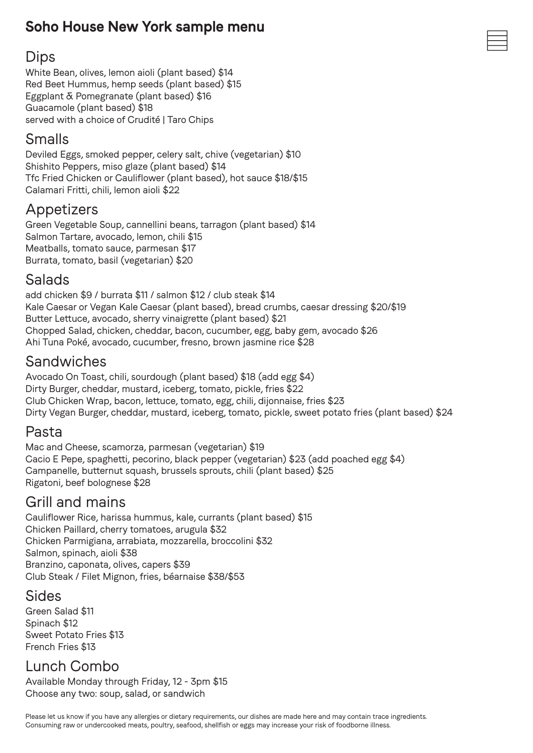## **Soho House New York sample menu**

#### Dips

White Bean, olives, lemon aioli (plant based) \$14 Red Beet Hummus, hemp seeds (plant based) \$15 Eggplant & Pomegranate (plant based) \$16 Guacamole (plant based) \$18 served with a choice of Crudité | Taro Chips

### Smalls

Deviled Eggs, smoked pepper, celery salt, chive (vegetarian) \$10 Shishito Peppers, miso glaze (plant based) \$14 Tfc Fried Chicken or Cauliflower (plant based), hot sauce \$18/\$15 Calamari Fritti, chili, lemon aioli \$22

### Appetizers

Green Vegetable Soup, cannellini beans, tarragon (plant based) \$14 Salmon Tartare, avocado, lemon, chili \$15 Meatballs, tomato sauce, parmesan \$17 Burrata, tomato, basil (vegetarian) \$20

#### Salads

add chicken \$9 / burrata \$11 / salmon \$12 / club steak \$14 Kale Caesar or Vegan Kale Caesar (plant based), bread crumbs, caesar dressing \$20/\$19 Butter Lettuce, avocado, sherry vinaigrette (plant based) \$21 Chopped Salad, chicken, cheddar, bacon, cucumber, egg, baby gem, avocado \$26 Ahi Tuna Poké, avocado, cucumber, fresno, brown jasmine rice \$28

#### Sandwiches

Avocado On Toast, chili, sourdough (plant based) \$18 (add egg \$4) Dirty Burger, cheddar, mustard, iceberg, tomato, pickle, fries \$22 Club Chicken Wrap, bacon, lettuce, tomato, egg, chili, dijonnaise, fries \$23 Dirty Vegan Burger, cheddar, mustard, iceberg, tomato, pickle, sweet potato fries (plant based) \$24

### Pasta

Mac and Cheese, scamorza, parmesan (vegetarian) \$19 Cacio E Pepe, spaghetti, pecorino, black pepper (vegetarian) \$23 (add poached egg \$4) Campanelle, butternut squash, brussels sprouts, chili (plant based) \$25 Rigatoni, beef bolognese \$28

#### Grill and mains

Cauliflower Rice, harissa hummus, kale, currants (plant based) \$15 Chicken Paillard, cherry tomatoes, arugula \$32 Chicken Parmigiana, arrabiata, mozzarella, broccolini \$32 Salmon, spinach, aioli \$38 Branzino, caponata, olives, capers \$39 Club Steak / Filet Mignon, fries, béarnaise \$38/\$53

### Sides

Green Salad \$11 Spinach \$12 Sweet Potato Fries \$13 French Fries \$13

# Lunch Combo

Available Monday through Friday, 12 - 3pm \$15 Choose any two: soup, salad, or sandwich